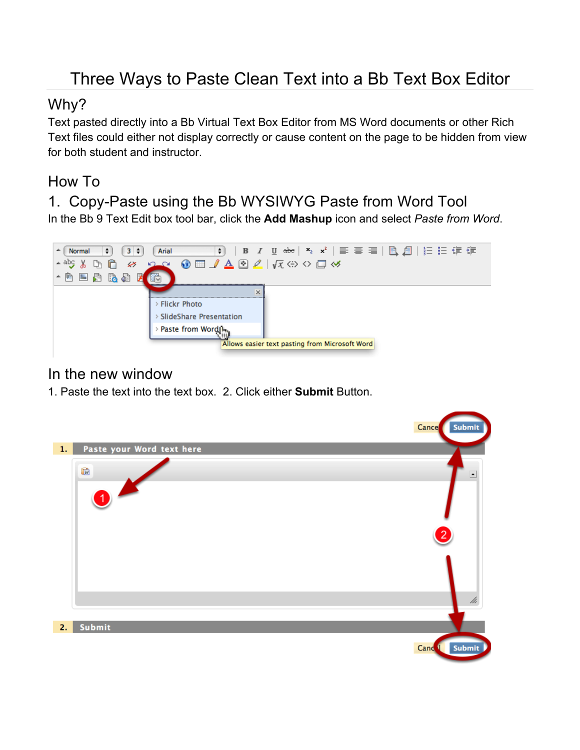# Three Ways to Paste Clean Text into a Bb Text Box Editor

#### Why?

Text pasted directly into a Bb Virtual Text Box Editor from MS Word documents or other Rich Text files could either not display correctly or cause content on the page to be hidden from view for both student and instructor.

#### How To

1. Copy-Paste using the Bb WYSIWYG Paste from Word Tool In the Bb 9 Text Edit box tool bar, click the **Add Mashup** icon and select *Paste from Word*.



#### In the new window

1. Paste the text into the text box. 2. Click either **Submit** Button.

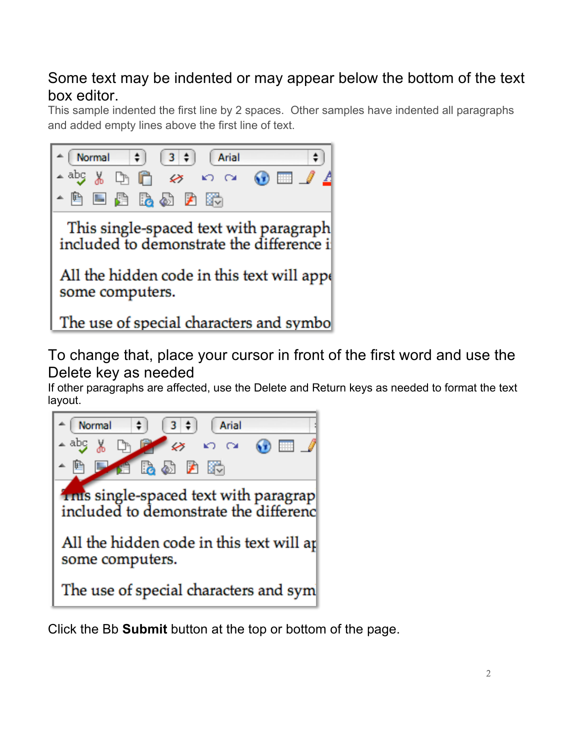## Some text may be indented or may appear below the bottom of the text box editor.

This sample indented the first line by 2 spaces. Other samples have indented all paragraphs and added empty lines above the first line of text.



To change that, place your cursor in front of the first word and use the Delete key as needed

If other paragraphs are affected, use the Delete and Return keys as needed to format the text layout.



Click the Bb **Submit** button at the top or bottom of the page.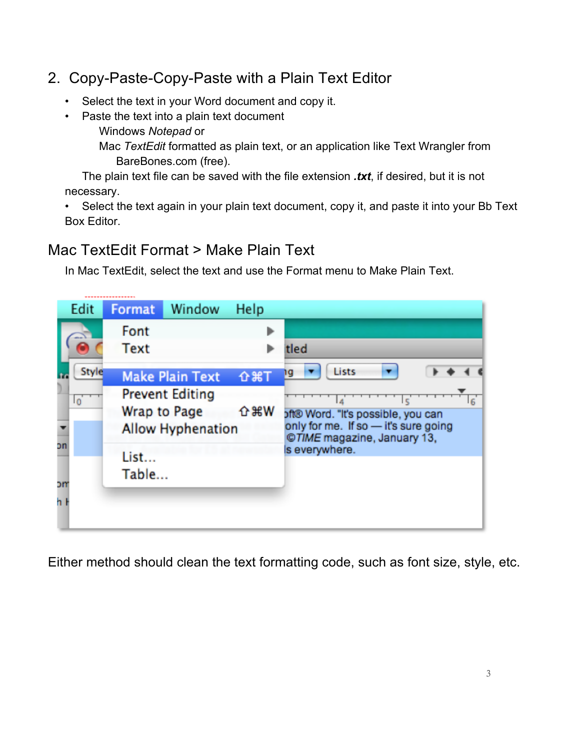## 2. Copy-Paste-Copy-Paste with a Plain Text Editor

- Select the text in your Word document and copy it.
- Paste the text into a plain text document Windows *Notepad* or

Mac *TextEdit* formatted as plain text, or an application like Text Wrangler from BareBones.com (free).

The plain text file can be saved with the file extension *.txt*, if desired, but it is not necessary.

• Select the text again in your plain text document, copy it, and paste it into your Bb Text Box Editor.

### Mac TextEdit Format > Make Plain Text

. . . . . . . . . . . . . . . . . . .

In Mac TextEdit, select the text and use the Format menu to Make Plain Text.

| Edit                 | <b>Format</b>                                                                            | Window                 | Help       |                                                                                                                                                |    |       |  |  |  |
|----------------------|------------------------------------------------------------------------------------------|------------------------|------------|------------------------------------------------------------------------------------------------------------------------------------------------|----|-------|--|--|--|
|                      | Font                                                                                     |                        |            |                                                                                                                                                |    |       |  |  |  |
|                      | <b>Text</b>                                                                              |                        |            | tled                                                                                                                                           |    |       |  |  |  |
| Style                |                                                                                          | <b>Make Plain Text</b> | <b>介出T</b> | Lists<br>q                                                                                                                                     |    |       |  |  |  |
| $\overline{0}$<br>on | <b>Prevent Editing</b><br><b>介出W</b><br>Wrap to Page<br><b>Allow Hyphenation</b><br>List |                        |            | $6 \overline{6}$<br>oft® Word. "It's possible, you can<br>only for me. If so - it's sure going<br>©TIME magazine, January 13,<br>s everywhere. |    |       |  |  |  |
|                      |                                                                                          |                        |            |                                                                                                                                                | эm | Table |  |  |  |
|                      |                                                                                          |                        |            |                                                                                                                                                | h  |       |  |  |  |
|                      |                                                                                          |                        |            |                                                                                                                                                |    |       |  |  |  |

Either method should clean the text formatting code, such as font size, style, etc.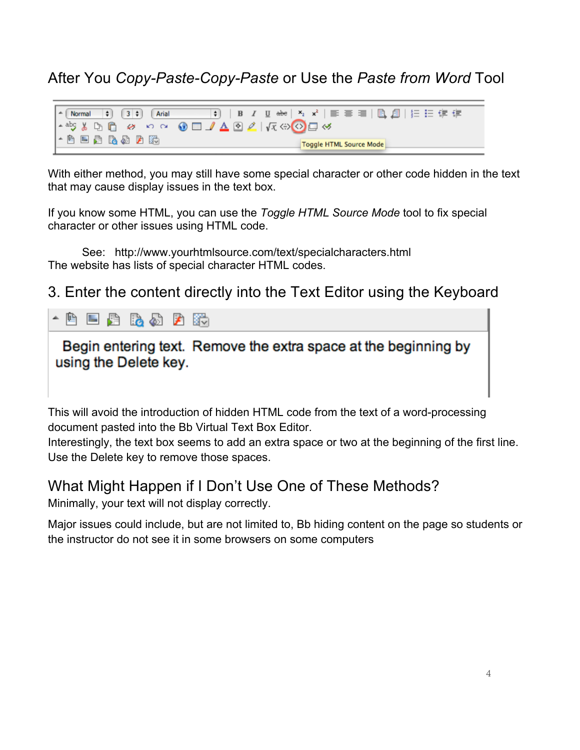After You *Copy-Paste-Copy-Paste* or Use the *Paste from Word* Tool



With either method, you may still have some special character or other code hidden in the text that may cause display issues in the text box.

If you know some HTML, you can use the *Toggle HTML Source Mode* tool to fix special character or other issues using HTML code.

See: http://www.yourhtmlsource.com/text/specialcharacters.html The website has lists of special character HTML codes.

3. Enter the content directly into the Text Editor using the Keyboard



Begin entering text. Remove the extra space at the beginning by using the Delete key.

This will avoid the introduction of hidden HTML code from the text of a word-processing document pasted into the Bb Virtual Text Box Editor.

Interestingly, the text box seems to add an extra space or two at the beginning of the first line. Use the Delete key to remove those spaces.

#### What Might Happen if I Don't Use One of These Methods?

Minimally, your text will not display correctly.

Major issues could include, but are not limited to, Bb hiding content on the page so students or the instructor do not see it in some browsers on some computers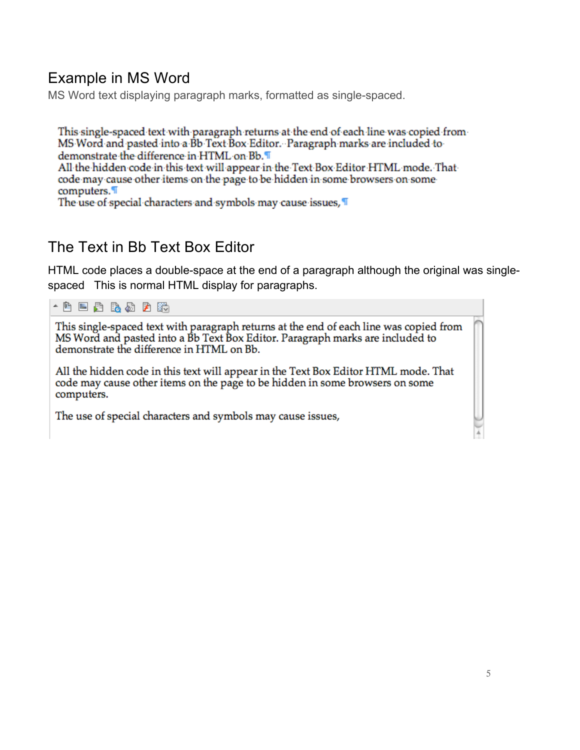## Example in MS Word

MS Word text displaying paragraph marks, formatted as single-spaced.

This single-spaced text with paragraph returns at the end of each line was copied from-MS Word and pasted into a Bb Text Box Editor. Paragraph marks are included to demonstrate the difference in HTML on Bb. All the hidden code in this text will appear in the Text Box Editor HTML mode. That code may cause other items on the page to be hidden in some browsers on some computers.

The use of special characters and symbols may cause issues, T

## The Text in Bb Text Box Editor

HTML code places a double-space at the end of a paragraph although the original was singlespaced This is normal HTML display for paragraphs.



This single-spaced text with paragraph returns at the end of each line was copied from MS Word and pasted into a Bb Text Box Editor. Paragraph marks are included to demonstrate the difference in HTML on Bb.

All the hidden code in this text will appear in the Text Box Editor HTML mode. That code may cause other items on the page to be hidden in some browsers on some computers.

The use of special characters and symbols may cause issues,